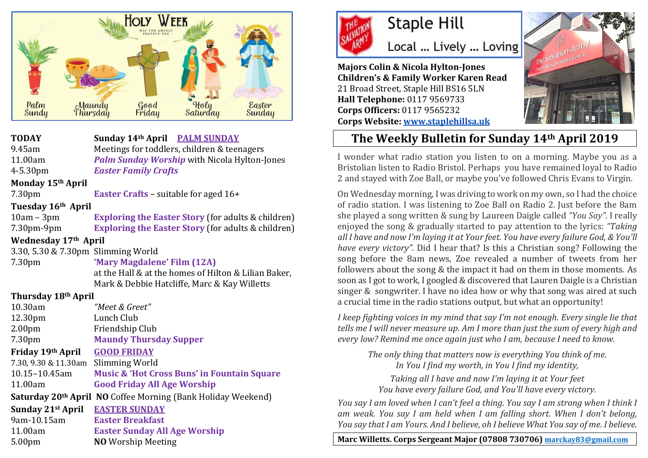

**TODAY Sunday 14th April PALM SUNDAY** 9.45am Meetings for toddlers, children & teenagers 11.00am *Palm Sunday Worship* with Nicola Hylton-Jones 4-5.30pm *Easter Family Crafts*

## **Monday 15th April**

7.30pm **Easter Crafts** – suitable for aged 16+

### **Tuesday 16th April**

10am – 3pm **Exploring the Easter Story** (for adults & children) 7.30pm-9pm **Exploring the Easter Story** (for adults & children)

## **Wednesday 17th April**

3.30, 5.30 & 7.30pm Slimming World

7.30pm **'Mary Magdalene' Film (12A)** at the Hall & at the homes of Hilton & Lilian Baker, Mark & Debbie Hatcliffe, Marc & Kay Willetts

## **Thursday 18th April**

| "Meet & Greet"                                                           |
|--------------------------------------------------------------------------|
| Lunch Club                                                               |
| Friendship Club                                                          |
| <b>Maundy Thursday Supper</b>                                            |
| <b>GOOD FRIDAY</b>                                                       |
| Slimming World<br>7.30, 9.30 & 11.30am                                   |
| <b>Music &amp; 'Hot Cross Buns' in Fountain Square</b>                   |
| <b>Good Friday All Age Worship</b>                                       |
| Saturday 20 <sup>th</sup> April NO Coffee Morning (Bank Holiday Weekend) |
| <b>EASTER SUNDAY</b>                                                     |
| <b>Easter Breakfast</b>                                                  |
| <b>Easter Sunday All Age Worship</b>                                     |
| <b>NO</b> Worship Meeting                                                |
|                                                                          |



Local ... Lively ... Loving

**Majors Colin & Nicola Hylton-Jones Children's & Family Worker Karen Read** 21 Broad Street, Staple Hill BS16 5LN **Hall Telephone:** 0117 9569733 **Corps Officers:** 0117 9565232 **Corps Website: [www.staplehillsa.uk](http://www.staplehillsa.uk/)**



## **The Weekly Bulletin for Sunday 14th April 2019**

I wonder what radio station you listen to on a morning. Maybe you as a Bristolian listen to Radio Bristol. Perhaps you have remained loyal to Radio 2 and stayed with Zoe Ball, or maybe you've followed Chris Evans to Virgin.

On Wednesday morning, I was driving to work on my own, so I had the choice of radio station. I was listening to Zoe Ball on Radio 2. Just before the 8am she played a song written & sung by Laureen Daigle called *"You Say".* I really enjoyed the song & gradually started to pay attention to the lyrics: *"Taking all I have and now I'm laying it at Your feet. You have every failure God, & You'll have every victory".* Did I hear that? Is this a Christian song? Following the song before the 8am news, Zoe revealed a number of tweets from her followers about the song & the impact it had on them in those moments. As soon as I got to work, I googled & discovered that Lauren Daigle is a Christian singer & songwriter. I have no idea how or why that song was aired at such a crucial time in the radio stations output, but what an opportunity!

*I keep fighting voices in my mind that say I'm not enough. Every single lie that tells me I will never measure up. Am I more than just the sum of every high and every low? Remind me once again just who I am, because I need to know.*

*The only thing that matters now is everything You think of me. In You I find my worth, in You I find my identity,*

*Taking all I have and now I'm laying it at Your feet You have every failure God, and You'll have every victory.*

*You say I am loved when I can't feel a thing. You say I am strong when I think I am weak. You say I am held when I am falling short. When I don't belong, You say that I am Yours. And I believe, oh I believe What You say of me. I believe.*

**Marc Willetts. Corps Sergeant Major (07808 730706) [marckay83@gmail.com](mailto:marckay83@gmail.com)**